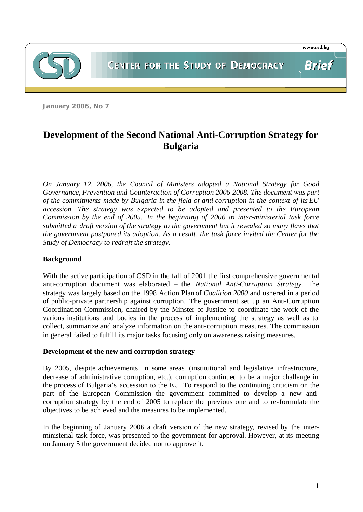

*January 2006, No 7*

# **Development of the Second National Anti-Corruption Strategy for Bulgaria**

*On January 12, 2006, the Council of Ministers adopted a National Strategy for Good Governance, Prevention and Counteraction of Corruption 2006-2008. The document was part of the commitments made by Bulgaria in the field of anti-corruption in the context of its EU accession. The strategy was expected to be adopted and presented to the European Commission by the end of 2005. In the beginning of 2006 an inter-ministerial task force submitted a draft version of the strategy to the government but it revealed so many flaws that the government postponed its adoption. As a result, the task force invited the Center for the Study of Democracy to redraft the strategy.* 

#### **Background**

With the active participation of CSD in the fall of 2001 the first comprehensive governmental anti-corruption document was elaborated – the *National Anti-Corruption Strategy*. The strategy was largely based on the 1998 Action Plan of *Coalition 2000* and ushered in a period of public-private partnership against corruption. The government set up an Anti-Corruption Coordination Commission, chaired by the Minster of Justice to coordinate the work of the various institutions and bodies in the process of implementing the strategy as well as to collect, summarize and analyze information on the anti-corruption measures. The commission in general failed to fulfill its major tasks focusing only on awareness raising measures.

#### **Deve lopment of the new anti-corruption strategy**

By 2005, despite achievements in some areas (institutional and legislative infrastructure, decrease of administrative corruption, etc.), corruption continued to be a major challenge in the process of Bulgaria's accession to the EU. To respond to the continuing criticism on the part of the European Commission the government committed to develop a new anticorruption strategy by the end of 2005 to replace the previous one and to re-formulate the objectives to be achieved and the measures to be implemented.

In the beginning of January 2006 a draft version of the new strategy, revised by the interministerial task force, was presented to the government for approval. However, at its meeting on January 5 the government decided not to approve it.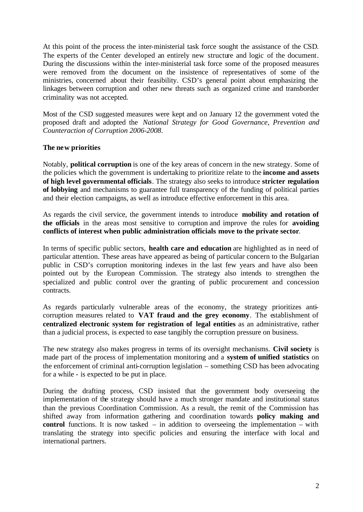At this point of the process the inter-ministerial task force sought the assistance of the CSD. The experts of the Center developed an entirely new structure and logic of the document. During the discussions within the inter-ministerial task force some of the proposed measures were removed from the document on the insistence of representatives of some of the ministries, concerned about their feasibility. CSD's general point about emphasizing the linkages between corruption and other new threats such as organized crime and transborder criminality was not accepted.

Most of the CSD suggested measures were kept and on January 12 the government voted the proposed draft and adopted the *National Strategy for Good Governance, Prevention and Counteraction of Corruption 2006-2008*.

### **The new priorities**

Notably, **political corruption** is one of the key areas of concern in the new strategy. Some of the policies which the government is undertaking to prioritize relate to the **income and assets of high level governmental officials**. The strategy also seeks to introduce **stricter regulation of lobbying** and mechanisms to guarantee full transparency of the funding of political parties and their election campaigns, as well as introduce effective enforcement in this area.

As regards the civil service, the government intends to introduce **mobility and rotation of the officials** in the areas most sensitive to corruption and improve the rules for **avoiding conflicts of interest when public administration officials move to the private sector**.

In terms of specific public sectors, **health care and education** are highlighted as in need of particular attention. These areas have appeared as being of particular concern to the Bulgarian public in CSD's corruption monitoring indexes in the last few years and have also been pointed out by the European Commission. The strategy also intends to strengthen the specialized and public control over the granting of public procurement and concession contracts.

As regards particularly vulnerable areas of the economy, the strategy prioritizes anticorruption measures related to **VAT fraud and the grey economy**. The establishment of **centralized electronic system for registration of legal entities** as an administrative, rather than a judicial process, is expected to ease tangibly the corruption pressure on business.

The new strategy also makes progress in terms of its oversight mechanisms. **Civil society** is made part of the process of implementation monitoring and a **system of unified statistics** on the enforcement of criminal anti-corruption legislation – something CSD has been advocating for a while - is expected to be put in place.

During the drafting process, CSD insisted that the government body overseeing the implementation of the strategy should have a much stronger mandate and institutional status than the previous Coordination Commission. As a result, the remit of the Commission has shifted away from information gathering and coordination towards **policy making and control** functions. It is now tasked – in addition to overseeing the implementation – with translating the strategy into specific policies and ensuring the interface with local and international partners.